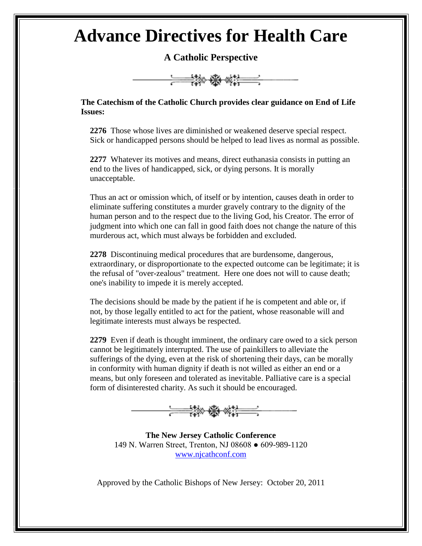## **Advance Directives for Health Care**

**A Catholic Perspective**



**The Catechism of the Catholic Church provides clear guidance on End of Life Issues:**

**2276** Those whose lives are diminished or weakened deserve special respect. Sick or handicapped persons should be helped to lead lives as normal as possible.

**2277** Whatever its motives and means, direct euthanasia consists in putting an end to the lives of handicapped, sick, or dying persons. It is morally unacceptable.

Thus an act or omission which, of itself or by intention, causes death in order to eliminate suffering constitutes a murder gravely contrary to the dignity of the human person and to the respect due to the living God, his Creator. The error of judgment into which one can fall in good faith does not change the nature of this murderous act, which must always be forbidden and excluded.

**2278** Discontinuing medical procedures that are burdensome, dangerous, extraordinary, or disproportionate to the expected outcome can be legitimate; it is the refusal of "over-zealous" treatment. Here one does not will to cause death; one's inability to impede it is merely accepted.

The decisions should be made by the patient if he is competent and able or, if not, by those legally entitled to act for the patient, whose reasonable will and legitimate interests must always be respected.

**2279** Even if death is thought imminent, the ordinary care owed to a sick person cannot be legitimately interrupted. The use of painkillers to alleviate the sufferings of the dying, even at the risk of shortening their days, can be morally in conformity with human dignity if death is not willed as either an end or a means, but only foreseen and tolerated as inevitable. Palliative care is a special form of disinterested charity. As such it should be encouraged.



**The New Jersey Catholic Conference** 149 N. Warren Street, Trenton, NJ 08608 ● 609-989-1120 [www.njcathconf.com](http://www.njcathconf.com/)

Approved by the Catholic Bishops of New Jersey: October 20, 2011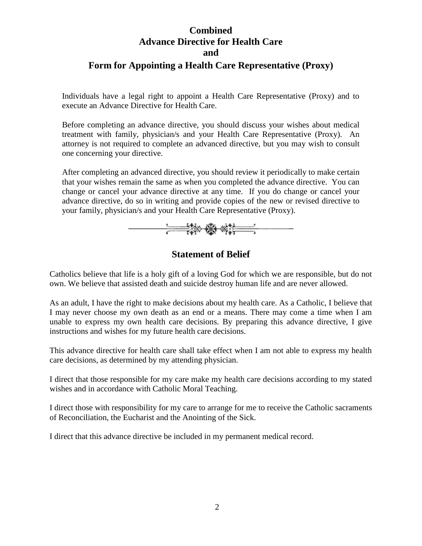## **Combined Advance Directive for Health Care and Form for Appointing a Health Care Representative (Proxy)**

Individuals have a legal right to appoint a Health Care Representative (Proxy) and to execute an Advance Directive for Health Care.

Before completing an advance directive, you should discuss your wishes about medical treatment with family, physician/s and your Health Care Representative (Proxy). An attorney is not required to complete an advanced directive, but you may wish to consult one concerning your directive.

After completing an advanced directive, you should review it periodically to make certain that your wishes remain the same as when you completed the advance directive. You can change or cancel your advance directive at any time. If you do change or cancel your advance directive, do so in writing and provide copies of the new or revised directive to your family, physician/s and your Health Care Representative (Proxy).



## **Statement of Belief**

Catholics believe that life is a holy gift of a loving God for which we are responsible, but do not own. We believe that assisted death and suicide destroy human life and are never allowed.

As an adult, I have the right to make decisions about my health care. As a Catholic, I believe that I may never choose my own death as an end or a means. There may come a time when I am unable to express my own health care decisions. By preparing this advance directive, I give instructions and wishes for my future health care decisions.

This advance directive for health care shall take effect when I am not able to express my health care decisions, as determined by my attending physician.

I direct that those responsible for my care make my health care decisions according to my stated wishes and in accordance with Catholic Moral Teaching.

I direct those with responsibility for my care to arrange for me to receive the Catholic sacraments of Reconciliation, the Eucharist and the Anointing of the Sick.

I direct that this advance directive be included in my permanent medical record.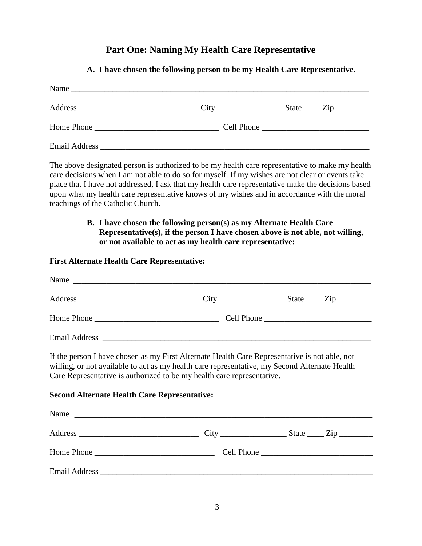### **Part One: Naming My Health Care Representative**

# Name \_\_\_\_\_\_\_\_\_\_\_\_\_\_\_\_\_\_\_\_\_\_\_\_\_\_\_\_\_\_\_\_\_\_\_\_\_\_\_\_\_\_\_\_\_\_\_\_\_\_\_\_\_\_\_\_\_\_\_\_\_\_\_\_\_\_\_\_\_\_\_\_ Address \_\_\_\_\_\_\_\_\_\_\_\_\_\_\_\_\_\_\_\_\_\_\_\_\_\_\_\_\_ City \_\_\_\_\_\_\_\_\_\_\_\_\_\_\_\_ State \_\_\_\_ Zip \_\_\_\_\_\_\_\_ Home Phone \_\_\_\_\_\_\_\_\_\_\_\_\_\_\_\_\_\_\_\_\_\_\_\_\_\_\_\_\_\_ Cell Phone \_\_\_\_\_\_\_\_\_\_\_\_\_\_\_\_\_\_\_\_\_\_\_\_\_\_ Email Address \_\_\_\_\_\_\_\_\_\_\_\_\_\_\_\_\_\_\_\_\_\_\_\_\_\_\_\_\_\_\_\_\_\_\_\_\_\_\_\_\_\_\_\_\_\_\_\_\_\_\_\_\_\_\_\_\_\_\_\_\_\_\_\_\_

**A. I have chosen the following person to be my Health Care Representative.**

The above designated person is authorized to be my health care representative to make my health care decisions when I am not able to do so for myself. If my wishes are not clear or events take place that I have not addressed, I ask that my health care representative make the decisions based upon what my health care representative knows of my wishes and in accordance with the moral teachings of the Catholic Church.

#### **B. I have chosen the following person(s) as my Alternate Health Care Representative(s), if the person I have chosen above is not able, not willing, or not available to act as my health care representative:**

#### **First Alternate Health Care Representative:**

| Address __________________________________City ______________________State ______ Zip ______________                                                                                                                                                                                                                            |  |
|---------------------------------------------------------------------------------------------------------------------------------------------------------------------------------------------------------------------------------------------------------------------------------------------------------------------------------|--|
| Home Phone                                                                                                                                                                                                                                                                                                                      |  |
|                                                                                                                                                                                                                                                                                                                                 |  |
| If the person I have chosen as my First Alternate Health Care Representative is not able, not<br>willing, or not available to act as my health care representative, my Second Alternate Health<br>Care Representative is authorized to be my health care representative.<br><b>Second Alternate Health Care Representative:</b> |  |
| Name                                                                                                                                                                                                                                                                                                                            |  |
|                                                                                                                                                                                                                                                                                                                                 |  |
|                                                                                                                                                                                                                                                                                                                                 |  |
|                                                                                                                                                                                                                                                                                                                                 |  |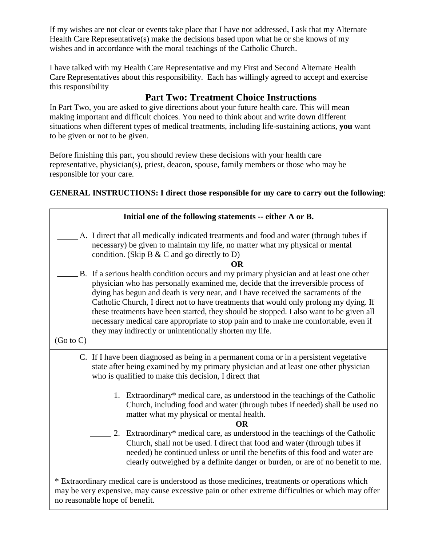If my wishes are not clear or events take place that I have not addressed, I ask that my Alternate Health Care Representative(s) make the decisions based upon what he or she knows of my wishes and in accordance with the moral teachings of the Catholic Church.

I have talked with my Health Care Representative and my First and Second Alternate Health Care Representatives about this responsibility. Each has willingly agreed to accept and exercise this responsibility

## **Part Two: Treatment Choice Instructions**

In Part Two, you are asked to give directions about your future health care. This will mean making important and difficult choices. You need to think about and write down different situations when different types of medical treatments, including life-sustaining actions, **you** want to be given or not to be given.

Before finishing this part, you should review these decisions with your health care representative, physician(s), priest, deacon, spouse, family members or those who may be responsible for your care.

**GENERAL INSTRUCTIONS: I direct those responsible for my care to carry out the following**:

|                      | Initial one of the following statements -- either A or B.                                                                                                                                                                                                                                                                                                                                                                                                                                                                                                                                               |  |  |  |
|----------------------|---------------------------------------------------------------------------------------------------------------------------------------------------------------------------------------------------------------------------------------------------------------------------------------------------------------------------------------------------------------------------------------------------------------------------------------------------------------------------------------------------------------------------------------------------------------------------------------------------------|--|--|--|
|                      | A. I direct that all medically indicated treatments and food and water (through tubes if<br>necessary) be given to maintain my life, no matter what my physical or mental<br>condition. (Skip B $& C$ and go directly to D)<br><b>OR</b>                                                                                                                                                                                                                                                                                                                                                                |  |  |  |
| $(Go \text{ to } C)$ | B. If a serious health condition occurs and my primary physician and at least one other<br>physician who has personally examined me, decide that the irreversible process of<br>dying has begun and death is very near, and I have received the sacraments of the<br>Catholic Church, I direct not to have treatments that would only prolong my dying. If<br>these treatments have been started, they should be stopped. I also want to be given all<br>necessary medical care appropriate to stop pain and to make me comfortable, even if<br>they may indirectly or unintentionally shorten my life. |  |  |  |
|                      |                                                                                                                                                                                                                                                                                                                                                                                                                                                                                                                                                                                                         |  |  |  |
|                      | C. If I have been diagnosed as being in a permanent coma or in a persistent vegetative<br>state after being examined by my primary physician and at least one other physician<br>who is qualified to make this decision, I direct that                                                                                                                                                                                                                                                                                                                                                                  |  |  |  |
|                      | 1. Extraordinary* medical care, as understood in the teachings of the Catholic<br>Church, including food and water (through tubes if needed) shall be used no<br>matter what my physical or mental health.<br><b>OR</b>                                                                                                                                                                                                                                                                                                                                                                                 |  |  |  |
|                      | 2. Extraordinary* medical care, as understood in the teachings of the Catholic<br>Church, shall not be used. I direct that food and water (through tubes if<br>needed) be continued unless or until the benefits of this food and water are<br>clearly outweighed by a definite danger or burden, or are of no benefit to me.                                                                                                                                                                                                                                                                           |  |  |  |
|                      | * Extraordinary medical care is understood as those medicines, treatments or operations which<br>may be very expensive, may cause excessive pain or other extreme difficulties or which may offer<br>no reasonable hope of benefit.                                                                                                                                                                                                                                                                                                                                                                     |  |  |  |

4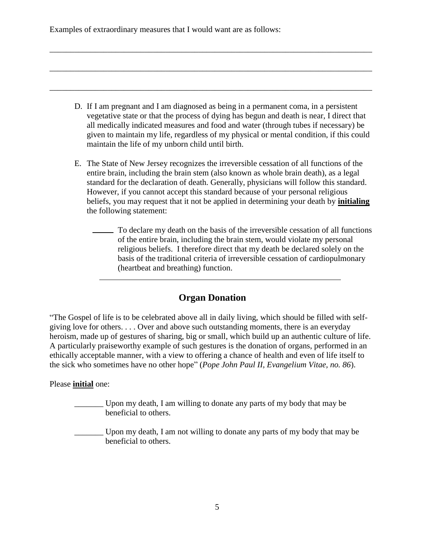Examples of extraordinary measures that I would want are as follows:

D. If I am pregnant and I am diagnosed as being in a permanent coma, in a persistent vegetative state or that the process of dying has begun and death is near, I direct that all medically indicated measures and food and water (through tubes if necessary) be given to maintain my life, regardless of my physical or mental condition, if this could maintain the life of my unborn child until birth.

\_\_\_\_\_\_\_\_\_\_\_\_\_\_\_\_\_\_\_\_\_\_\_\_\_\_\_\_\_\_\_\_\_\_\_\_\_\_\_\_\_\_\_\_\_\_\_\_\_\_\_\_\_\_\_\_\_\_\_\_\_\_\_\_\_\_\_\_\_\_\_\_\_\_\_\_\_\_

\_\_\_\_\_\_\_\_\_\_\_\_\_\_\_\_\_\_\_\_\_\_\_\_\_\_\_\_\_\_\_\_\_\_\_\_\_\_\_\_\_\_\_\_\_\_\_\_\_\_\_\_\_\_\_\_\_\_\_\_\_\_\_\_\_\_\_\_\_\_\_\_\_\_\_\_\_\_

\_\_\_\_\_\_\_\_\_\_\_\_\_\_\_\_\_\_\_\_\_\_\_\_\_\_\_\_\_\_\_\_\_\_\_\_\_\_\_\_\_\_\_\_\_\_\_\_\_\_\_\_\_\_\_\_\_\_\_\_\_\_\_\_\_\_\_\_\_\_\_\_\_\_\_\_\_\_

- E. The State of New Jersey recognizes the irreversible cessation of all functions of the entire brain, including the brain stem (also known as whole brain death), as a legal standard for the declaration of death. Generally, physicians will follow this standard. However, if you cannot accept this standard because of your personal religious beliefs, you may request that it not be applied in determining your death by **initialing** the following statement:
	- To declare my death on the basis of the irreversible cessation of all functions of the entire brain, including the brain stem, would violate my personal religious beliefs. I therefore direct that my death be declared solely on the basis of the traditional criteria of irreversible cessation of cardiopulmonary (heartbeat and breathing) function.

### **Organ Donation**

"The Gospel of life is to be celebrated above all in daily living, which should be filled with selfgiving love for others. . . . Over and above such outstanding moments, there is an everyday heroism, made up of gestures of sharing, big or small, which build up an authentic culture of life. A particularly praiseworthy example of such gestures is the donation of organs, performed in an ethically acceptable manner, with a view to offering a chance of health and even of life itself to the sick who sometimes have no other hope" (*Pope John Paul II, Evangelium Vitae, no. 86*).

#### Please **initial** one:

- Upon my death, I am willing to donate any parts of my body that may be beneficial to others.
- \_\_\_\_\_\_\_ Upon my death, I am not willing to donate any parts of my body that may be beneficial to others.